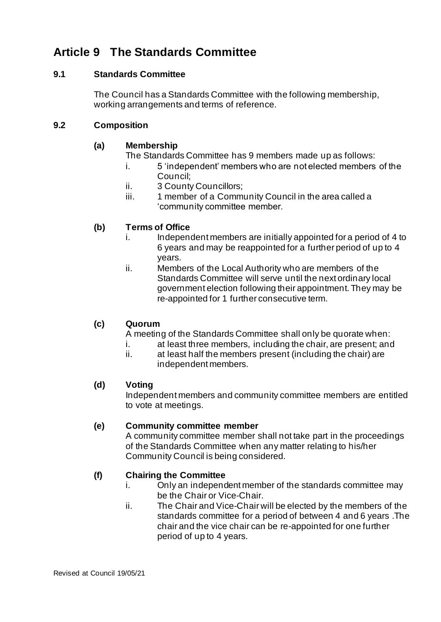# **Article 9 The Standards Committee**

### **9.1 Standards Committee**

The Council has a Standards Committee with the following membership, working arrangements and terms of reference.

#### **9.2 Composition**

#### **(a) Membership**

The Standards Committee has 9 members made up as follows:

- i. 5 'independent' members who are not elected members of the Council;
- ii. 3 County Councillors;
- iii. 1 member of a Community Council in the area called a 'community committee member.

## **(b) Terms of Office**

- i. Independent members are initially appointed for a period of 4 to 6 years and may be reappointed for a further period of up to 4 years.
- ii. Members of the Local Authority who are members of the Standards Committee will serve until the next ordinary local government election following their appointment. They may be re-appointed for 1 further consecutive term.

## **(c) Quorum**

A meeting of the Standards Committee shall only be quorate when:

- i. at least three members, including the chair, are present; and
- ii. at least half the members present (including the chair) are independent members.

#### **(d) Voting**

Independent members and community committee members are entitled to vote at meetings.

#### **(e) Community committee member**

A community committee member shall not take part in the proceedings of the Standards Committee when any matter relating to his/her Community Council is being considered.

## **(f) Chairing the Committee**

- i. Only an independent member of the standards committee may be the Chair or Vice-Chair.
- ii. The Chair and Vice-Chair will be elected by the members of the standards committee for a period of between 4 and 6 years .The chair and the vice chair can be re-appointed for one further period of up to 4 years.